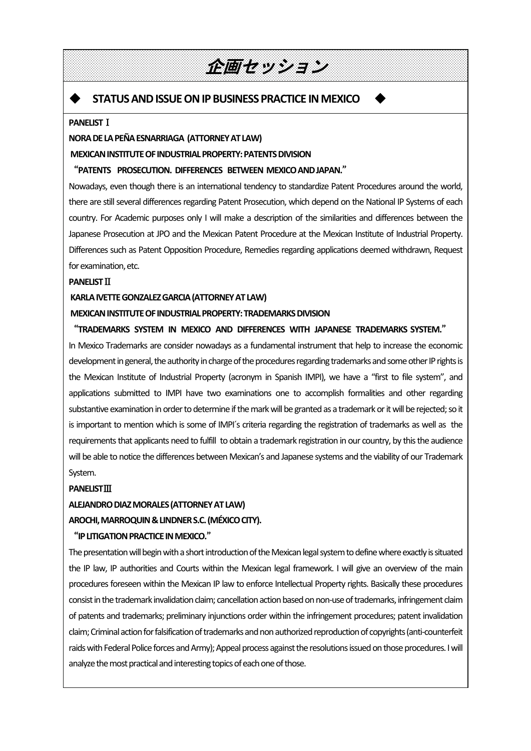## 企画セッション

## **STATUS AND ISSUE ON IP BUSINESS PRACTICE IN MEXICO**

#### **PANELIST**Ⅰ

 $\blacktriangleright$ 

 $\mathsf{L}$ 

 $\mathsf{L}$ 

#### **NORADELAPEÑAESNARRIAGA (ATTORNEYATLAW)**

**MEXICAN INSTITUTE OF INDUSTRIAL PROPERTY: PATENTS DIVISION** 

#### "**PATENTS PROSECUTION. DIFFERENCES BETWEEN MEXICOANDJAPAN.**"

 Nowadays, even though there is an international tendency to standardize Patent Procedures around the world, there are still several differences regarding Patent Prosecution, which depend on the National IP Systems of each country. For Academic purposes only I will make a description of the similarities and differences between the Japanese Prosecution at JPO and the Mexican Patent Procedure at the Mexican Institute of Industrial Property. Differences such as Patent Opposition Procedure, Remedies regarding applications deemed withdrawn, Request for examination, etc.

#### **PANELIST**<sub>II</sub>

#### KARLA IVETTE GONZALEZ GARCIA (ATTORNEY AT LAW)

#### **MEXICAN INSTITUTE OF INDUSTRIAL PROPERTY: TRADEMARKS DIVISION**

#### "TRADEMARKS SYSTEM IN MEXICO AND DIFFERENCES WITH JAPANESE TRADEMARKS SYSTEM."

In Mexico Trademarks are consider nowadays as a fundamental instrument that help to increase the economic development in general, the authority in charge of the procedures regarding trademarks and some other IP rights is the Mexican Institute of Industrial Property (acronym in Spanish IMPI), we have a "first to file system", and applications submitted to IMPI have two examinations one to accomplish formalities and other regarding substantive examination in order to determine if the mark will be granted as a trademark or it will be rejected; so it is important to mention which is some of IMPI´s criteria regarding the registration of trademarks as well as the requirements that applicants need to fulfill to obtain a trademark registration in our country, by this the audience will be able to notice the differences between Mexican's and Japanese systems and the viability of our Trademark System.

#### **PANELIST**Ⅲ

#### **ALEJANDRO DIAZ MORALES (ATTORNEY AT LAW)**

#### AROCHI, MARROQUIN & LINDNER S.C. (MÉXICO CITY).

#### "**IPLITIGATIONPRACTICEINMEXICO.**"

The presentation will begin with a short introduction of the Mexican legal system to define where exactly is situated the IP law, IP authorities and Courts within the Mexican legal framework. I will give an overview of the main procedures foreseen within the Mexican IP law to enforce Intellectual Property rights. Basically these procedures consist in the trademark invalidation claim; cancellation action based on non-use of trademarks, infringement claim of patents and trademarks; preliminary injunctions order within the infringement procedures; patent invalidation claim; Criminal action for falsification of trademarks and non authorized reproduction of copyrights (anti-counterfeit raids with Federal Police forces and Army); Appeal process against the resolutions issued on those procedures. I will analyze the most practical and interesting topics of each one of those.